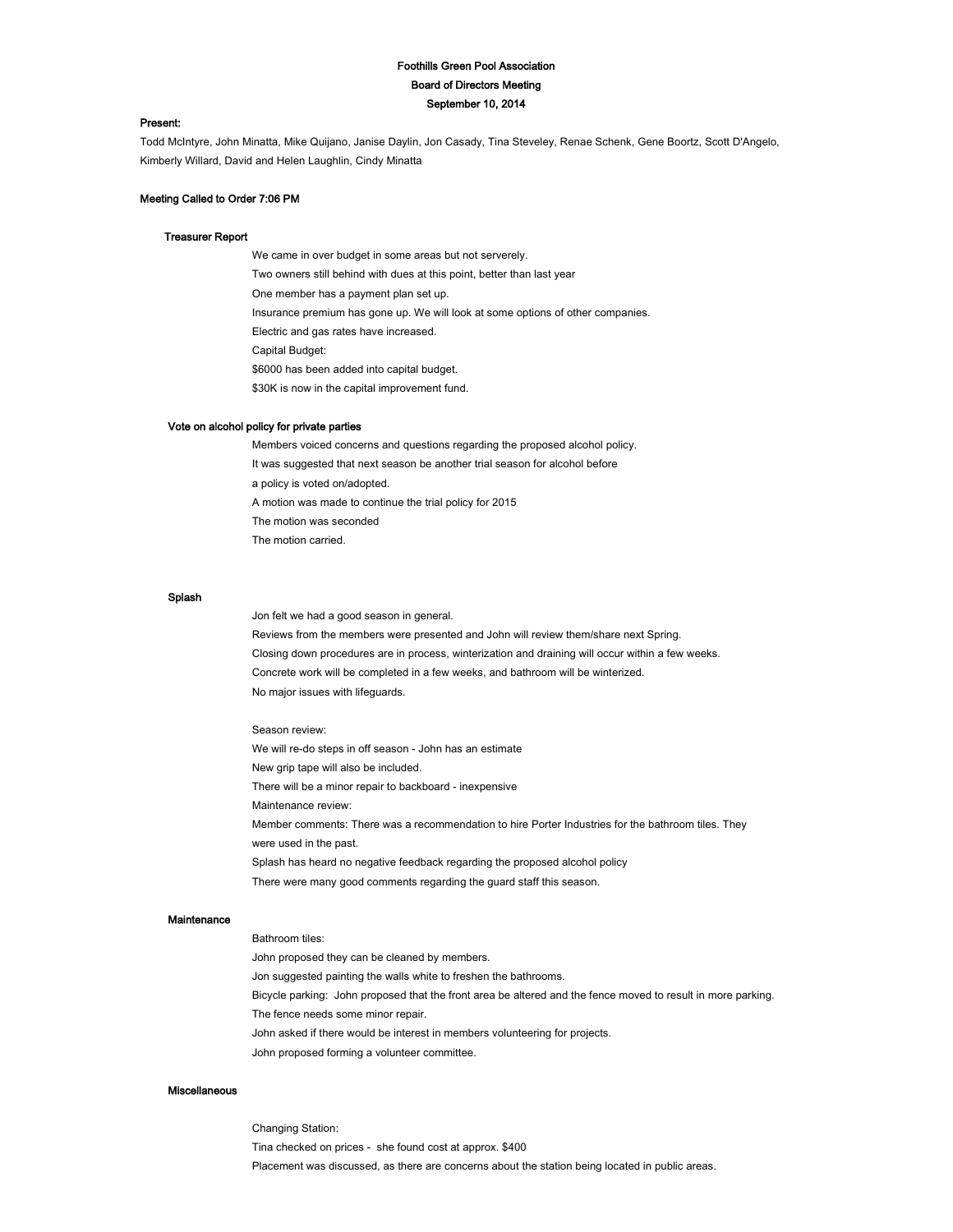# Foothills Green Pool Association Board of Directors Meeting September 10, 2014

### Present:

Todd McIntyre, John Minatta, Mike Quijano, Janise Daylin, Jon Casady, Tina Steveley, Renae Schenk, Gene Boortz, Scott D'Angelo, Kimberly Willard, David and Helen Laughlin, Cindy Minatta

# Meeting Called to Order 7:06 PM

#### Treasurer Report

 We came in over budget in some areas but not serverely. Two owners still behind with dues at this point, better than last year One member has a payment plan set up. Insurance premium has gone up. We will look at some options of other companies. Electric and gas rates have increased. Capital Budget: \$6000 has been added into capital budget. \$30K is now in the capital improvement fund.

### Vote on alcohol policy for private parties

 Members voiced concerns and questions regarding the proposed alcohol policy. It was suggested that next season be another trial season for alcohol before a policy is voted on/adopted. A motion was made to continue the trial policy for 2015 The motion was seconded The motion carried.

# Splash

Jon felt we had a good season in general.

Reviews from the members were presented and John will review them/share next Spring. Closing down procedures are in process, winterization and draining will occur within a few weeks. Concrete work will be completed in a few weeks, and bathroom will be winterized. No major issues with lifeguards.

#### Season review:

We will re-do steps in off season - John has an estimate New grip tape will also be included. There will be a minor repair to backboard - inexpensive Maintenance review: Member comments: There was a recommendation to hire Porter Industries for the bathroom tiles. They were used in the past. Splash has heard no negative feedback regarding the proposed alcohol policy There were many good comments regarding the guard staff this season.

#### Maintenance

 Bathroom tiles: John proposed they can be cleaned by members. Jon suggested painting the walls white to freshen the bathrooms. Bicycle parking: John proposed that the front area be altered and the fence moved to result in more parking. The fence needs some minor repair. John asked if there would be interest in members volunteering for projects. John proposed forming a volunteer committee.

### Miscellaneous

 Changing Station: Tina checked on prices - she found cost at approx. \$400 Placement was discussed, as there are concerns about the station being located in public areas.